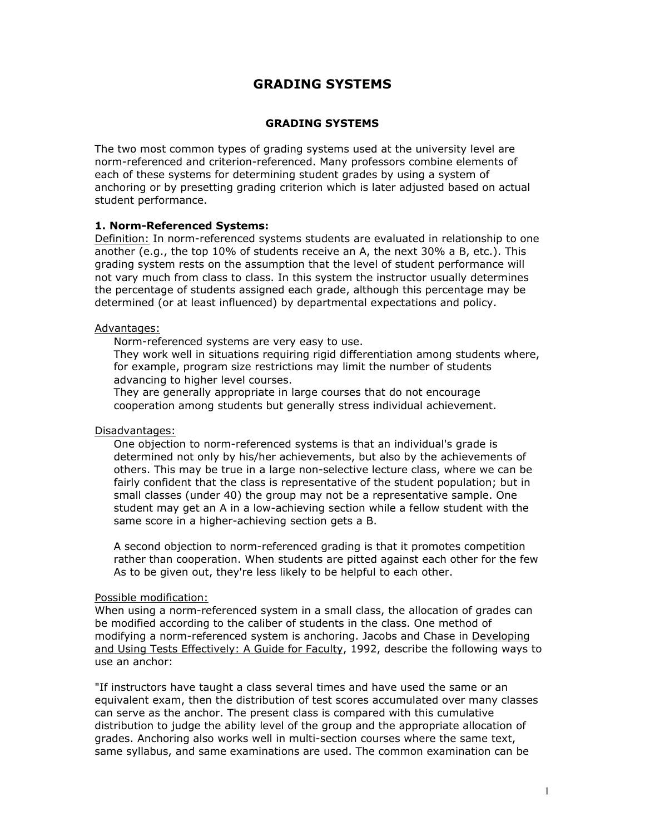# **GRADING SYSTEMS**

## **GRADING SYSTEMS**

The two most common types of grading systems used at the university level are norm-referenced and criterion-referenced. Many professors combine elements of each of these systems for determining student grades by using a system of anchoring or by presetting grading criterion which is later adjusted based on actual student performance.

## **1. Norm-Referenced Systems:**

Definition: In norm-referenced systems students are evaluated in relationship to one another (e.g., the top 10% of students receive an A, the next 30% a B, etc.). This grading system rests on the assumption that the level of student performance will not vary much from class to class. In this system the instructor usually determines the percentage of students assigned each grade, although this percentage may be determined (or at least influenced) by departmental expectations and policy.

### Advantages:

- ® Norm-referenced systems are very easy to use.
- ® They work well in situations requiring rigid differentiation among students where, for example, program size restrictions may limit the number of students advancing to higher level courses.
- ® They are generally appropriate in large courses that do not encourage cooperation among students but generally stress individual achievement.

### Disadvantages:

- ® One objection to norm-referenced systems is that an individual's grade is determined not only by his/her achievements, but also by the achievements of others. This may be true in a large non-selective lecture class, where we can be fairly confident that the class is representative of the student population; but in small classes (under 40) the group may not be a representative sample. One student may get an A in a low-achieving section while a fellow student with the same score in a higher-achieving section gets a B.
- $\blacklozenge$  A second objection to norm-referenced grading is that it promotes competition rather than cooperation. When students are pitted against each other for the few As to be given out, they're less likely to be helpful to each other.

### Possible modification:

When using a norm-referenced system in a small class, the allocation of grades can be modified according to the caliber of students in the class. One method of modifying a norm-referenced system is anchoring. Jacobs and Chase in Developing and Using Tests Effectively: A Guide for Faculty, 1992, describe the following ways to use an anchor:

"If instructors have taught a class several times and have used the same or an equivalent exam, then the distribution of test scores accumulated over many classes can serve as the anchor. The present class is compared with this cumulative distribution to judge the ability level of the group and the appropriate allocation of grades. Anchoring also works well in multi-section courses where the same text, same syllabus, and same examinations are used. The common examination can be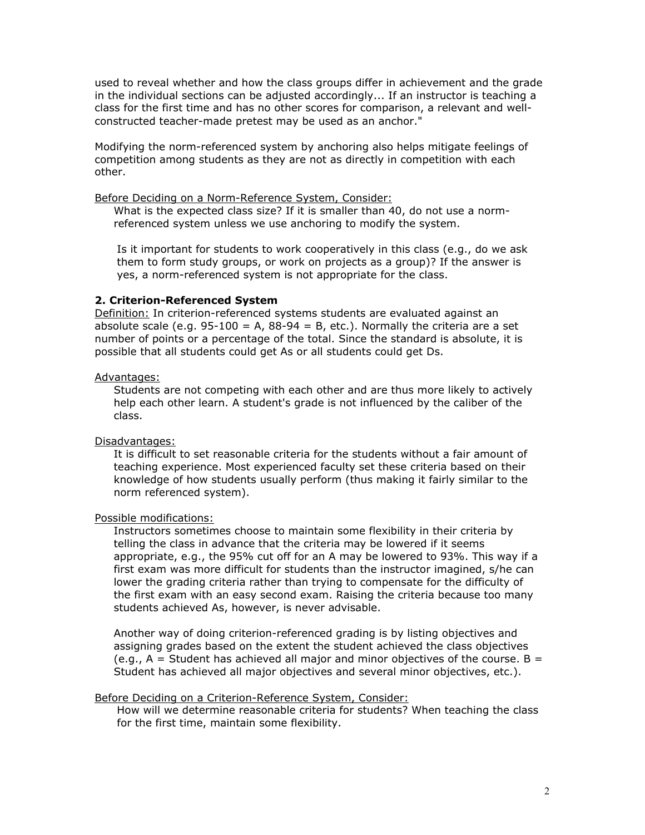used to reveal whether and how the class groups differ in achievement and the grade in the individual sections can be adjusted accordingly... If an instructor is teaching a class for the first time and has no other scores for comparison, a relevant and wellconstructed teacher-made pretest may be used as an anchor."

Modifying the norm-referenced system by anchoring also helps mitigate feelings of competition among students as they are not as directly in competition with each other.

Before Deciding on a Norm-Reference System, Consider:

- ® What is the expected class size? If it is smaller than 40, do not use a normreferenced system unless we use anchoring to modify the system.
- $\bullet$  Is it important for students to work cooperatively in this class (e.g., do we ask them to form study groups, or work on projects as a group)? If the answer is yes, a norm-referenced system is not appropriate for the class.

### **2. Criterion-Referenced System**

Definition: In criterion-referenced systems students are evaluated against an absolute scale (e.g.  $95-100 = A$ ,  $88-94 = B$ , etc.). Normally the criteria are a set number of points or a percentage of the total. Since the standard is absolute, it is possible that all students could get As or all students could get Ds.

#### Advantages:

® Students are not competing with each other and are thus more likely to actively help each other learn. A student's grade is not influenced by the caliber of the class.

Disadvantages:

It is difficult to set reasonable criteria for the students without a fair amount of teaching experience. Most experienced faculty set these criteria based on their knowledge of how students usually perform (thus making it fairly similar to the norm referenced system).

Possible modifications:

- Instructors sometimes choose to maintain some flexibility in their criteria by telling the class in advance that the criteria may be lowered if it seems appropriate, e.g., the 95% cut off for an A may be lowered to 93%. This way if a first exam was more difficult for students than the instructor imagined, s/he can lower the grading criteria rather than trying to compensate for the difficulty of the first exam with an easy second exam. Raising the criteria because too many students achieved As, however, is never advisable.
- ® Another way of doing criterion-referenced grading is by listing objectives and assigning grades based on the extent the student achieved the class objectives  $(e.g., A = Student has achieved all major and minor objectives of the course. B =$ Student has achieved all major objectives and several minor objectives, etc.).

## Before Deciding on a Criterion-Reference System, Consider:

® How will we determine reasonable criteria for students? When teaching the class for the first time, maintain some flexibility.